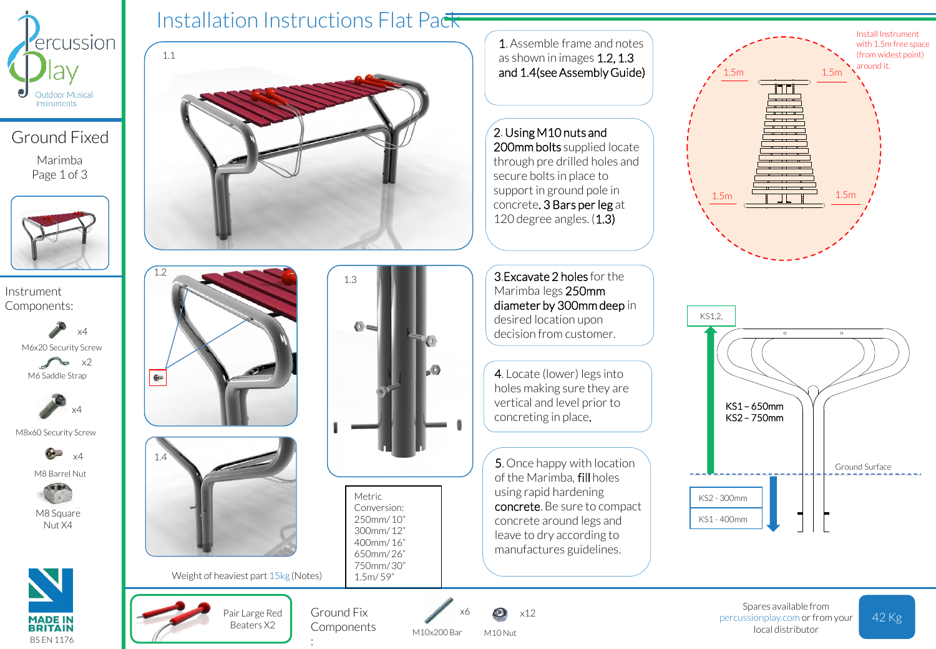

Ground Fixed Marimba Page 1 of 3



Instrument Components:

> x2 M6x20 Security Screw x4 M6 Saddle Strap



M8x60 Security Screw



M8 Barrel Nut



M8 Square Nut X4





**Components** 

:

M10x200 Bar

M10 Nut



Spares available from local distributor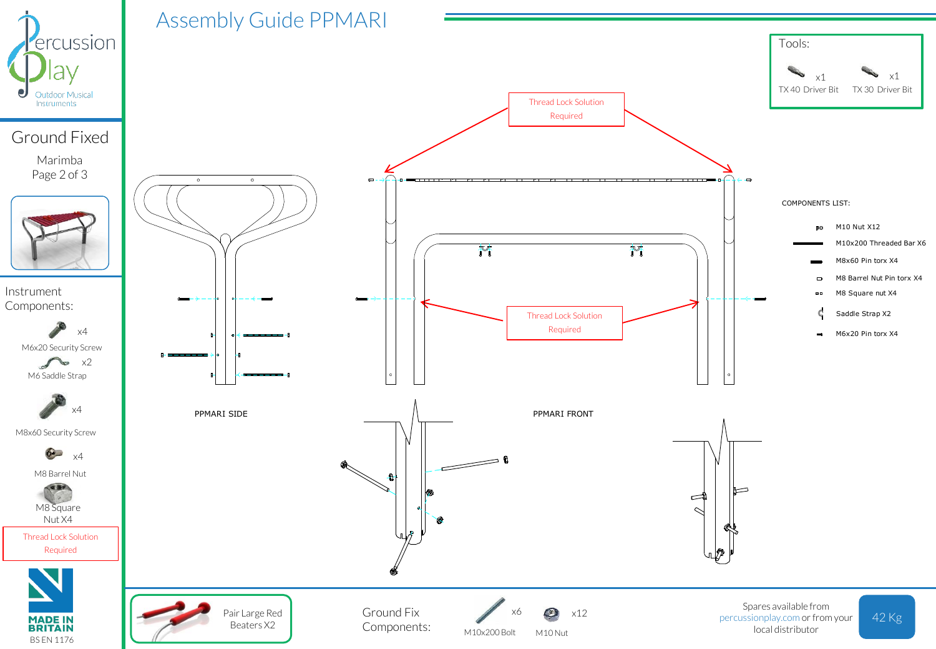